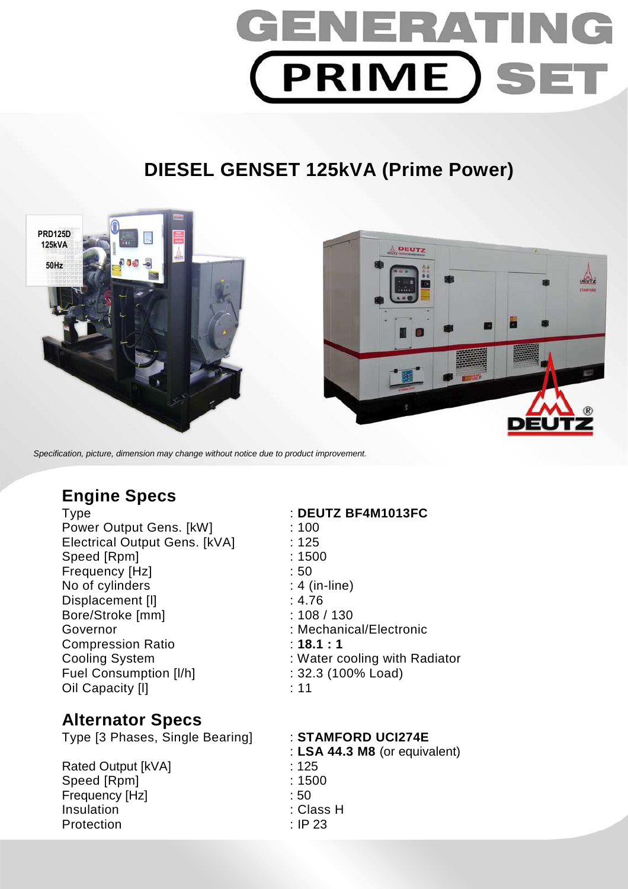

# **DIESEL GENSET 125kVA (Prime Power)**



Specification, picture, dimension may change without notice due to product improvement.

## **Engine Specs**

Power Output Gens. [kW] : 100 Electrical Output Gens. [kVA] : 125 Speed [Rpm] : 1500 Frequency [Hz]  $\qquad \qquad$  : 50 No of cylinders : 4 (in-line) Displacement [I] 3.4.76 Bore/Stroke [mm] : 108 / 130 Governor : Mechanical/Electronic Compression Ratio **18.1 : 1** Cooling System : Water cooling with Radiator Fuel Consumption [I/h] : 32.3 (100% Load) Oil Capacity [I] **11** : 11

## **Alternator Specs**

Type [3 Phases, Single Bearing] : **STAMFORD UCI274E** 

Rated Output [kVA] : 125 Speed [Rpm] : 1500 Frequency [Hz] : 50 Insulation : Class H Protection : IP 23

### Type : **DEUTZ BF4M1013FC**

: **LSA 44.3 M8** (or equivalent)